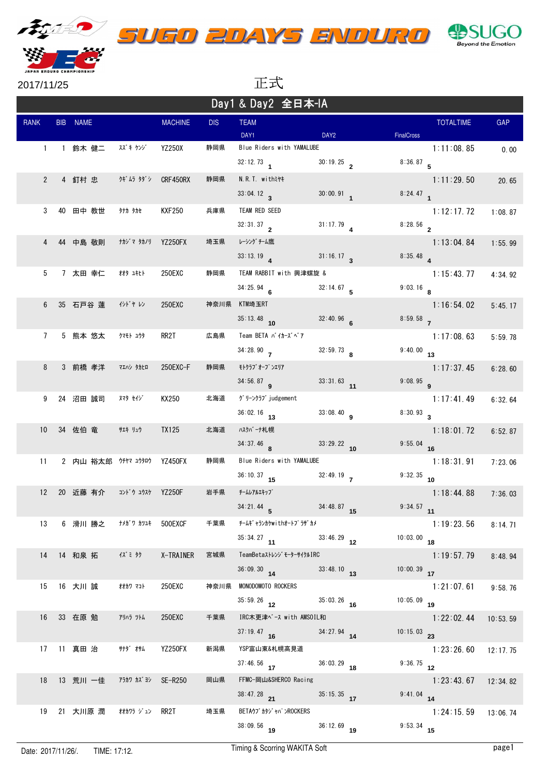

2017/11/25 正式

Day1 & Day2 全日本-IA

| Day I & Day Z 王口 A TA |  |                             |                          |                |            |                           |                  |                   |                  |            |
|-----------------------|--|-----------------------------|--------------------------|----------------|------------|---------------------------|------------------|-------------------|------------------|------------|
| <b>RANK</b>           |  | BIB NAME                    |                          | <b>MACHINE</b> | <b>DIS</b> | <b>TEAM</b><br>DAY1       | DAY <sub>2</sub> | <b>FinalCross</b> | <b>TOTALTIME</b> | <b>GAP</b> |
|                       |  | 1 1 鈴木健二                    | スズキ ケンゾ                  | YZ250X         | 静岡県        | Blue Riders with YAMALUBE |                  |                   | 1:11:08.85       |            |
|                       |  |                             |                          |                |            |                           | $30:19.25$ 2     |                   |                  | 0.00       |
|                       |  |                             |                          |                |            | $32:12.73$ 1              |                  | $8:36.87$ 5       |                  |            |
| $\overline{2}$        |  | 4 釘村 忠                      | <b>クギムラ タダシ CRF450RX</b> |                | 静岡県        | N.R.T. withst+            |                  |                   | 1:11:29.50       | 20.65      |
|                       |  |                             |                          |                |            | 33:04.12                  | $30:00.91$ 1     | $8:24.47$ 1       |                  |            |
| 3                     |  | 40 田中 教世                    | 9ナカ タカセ                  | <b>KXF250</b>  | 兵庫県        | TEAM RED SEED             |                  |                   | 1:12:17.72       | 1:08.87    |
|                       |  |                             |                          |                |            | 32:31.37                  | $31:17.79$ 4     | $8:28.56$ 2       |                  |            |
| 4                     |  | 44 中島 敬則                    | ナカジマ タカノリ                | YZ250FX        | 埼玉県        | レーシング チーム鷹                |                  |                   | 1:13:04.84       | 1:55.99    |
|                       |  |                             |                          |                |            | $33:13.19$ $4$            | 31:16.17         | $8:35.48$ 4       |                  |            |
| 5                     |  | 7 太田 幸仁                     | 材タ ユキヒト                  | 250EXC         | 静岡県        | TEAM RABBIT with 興津螺旋 &   |                  |                   | 1:15:43.77       | 4:34.92    |
|                       |  |                             |                          |                |            | 34:25.94                  | $32:14.67$ 5     | $9:03.16$ 8       |                  |            |
| 6                     |  | 35 石戸谷 蓮                    | かドャレン                    | 250EXC         | 神奈川県       | KTM埼玉RT                   |                  |                   | 1:16:54.02       | 5:45.17    |
|                       |  |                             |                          |                |            | $35:13.48$ 10             | $32:40.96$ 6     | $8:59.58$ 7       |                  |            |
|                       |  |                             |                          |                |            |                           |                  |                   |                  |            |
| $7^{\circ}$           |  | 5 熊本 悠太                     | クマモト ユウタ                 | RR2T           | 広島県        | Team BETA バイカーズベア         |                  |                   | 1:17:08.63       | 5:59.78    |
|                       |  |                             |                          |                |            | 34:28.90                  | $32:59.73$ 8     | $9:40.00$ 13      |                  |            |
| 8                     |  | 3 前橋 孝洋                     | マエハシ タカヒロ                | 250EXC-F       | 静岡県        | モトクラブ オープ ンエリア            |                  |                   | 1:17:37.45       | 6:28.60    |
|                       |  |                             |                          |                |            | $34:56.87$ 9              | $33:31.63$ 11    | $9:08.95$ 9       |                  |            |
| 9                     |  | 24 沼田 誠司                    | <b>ヌマタ セイジ゛</b>          | KX250          | 北海道        | グリーンクラブ judgement         |                  |                   | 1:17:41.49       | 6:32.64    |
|                       |  |                             |                          |                |            | $36:02.16$ 13             | $33:08.40$ 9     | $8:30.93$ 3       |                  |            |
| 10 <sup>°</sup>       |  | 34 佐伯 竜                     | サエキ リュウ                  | <b>TX125</b>   | 北海道        | ハスクバーナ札幌                  |                  |                   | 1:18:01.72       | 6:52.87    |
|                       |  |                             |                          |                |            | $34:37.46$ 8              | $33:29.22$ 10    | $9:55.04$ 16      |                  |            |
| 11                    |  | 2 内山 裕太郎 ウチヤマ ユウタロウ YZ450FX |                          |                | 静岡県        | Blue Riders with YAMALUBE |                  |                   | 1:18:31.91       | 7:23.06    |
|                       |  |                             |                          |                |            | $36:10.37$ 15             | $32:49.19$ 7     | $9:32.35$ 10      |                  |            |
|                       |  | 12 20 近藤 有介                 | コント・ウ ユウスケ YZ250F        |                | 岩手県        | チームレアルエキップ                |                  |                   | 1:18:44.88       | 7:36.03    |
|                       |  |                             |                          |                |            | $34:21.44$ 5              | $34:48.87$ 15    | $9:34.57$ 11      |                  |            |
|                       |  |                             |                          |                |            |                           |                  |                   |                  |            |
| 13                    |  | 6 滑川 勝之                     | ナメガ゛ワ カツユキ               | 500EXCF        | 千葉県        | チームキ゛ャランカケwithオートフ゜ラザ゛カメ  |                  |                   | 1:19:23.56       | 8:14.71    |
|                       |  |                             |                          |                |            | $35:34.27$ 11             | $33:46.29$ 12    | $10:03.00$ 18     |                  |            |
| 14                    |  | 14 和泉 拓                     | 1ズミ タク                   | X-TRAINER      | 宮城県        | TeamBetaストレンジ モーターサイクルIRC |                  |                   | 1:19:57.79       | 8:48.94    |
|                       |  |                             |                          |                |            | $36:09.30$ 14             | $33:48.10$ 13    | $10:00.39$ 17     |                  |            |
| 15                    |  | 16 大川 誠                     | オオカワ マコト                 | 250EXC         | 神奈川県       | MONODOMOTO ROCKERS        |                  |                   | 1:21:07.61       | 9:58.76    |
|                       |  |                             |                          |                |            | $35:59.26$ 12             | $35:03.26$ 16    | $10:05.09$ 19     |                  |            |
| 16                    |  | 33 在原 勉                     | アリハラ ツトム                 | 250EXC         | 千葉県        | IRC木更津ベース with AMSOIL和    |                  |                   | 1:22:02.44       | 10:53.59   |
|                       |  |                             |                          |                |            | $37:19.47$ 16             | $34:27.94$ 14    | $10:15.03$ 23     |                  |            |
| 17                    |  | 11 真田 治                     | <b>サナダ オサム</b>           | YZ250FX        | 新潟県        | YSP富山東&札幌高見道              |                  |                   | 1:23:26.60       | 12:17.75   |
|                       |  |                             |                          |                |            | $37:46.56$ 17             | $36:03.29$ 18    | $9:36.75$ 12      |                  |            |
| 18                    |  | 13 荒川 一佳                    | アラカワ カズ ヨシ SE-R250       |                | 岡山県        | FFMC-岡山&SHERCO Racing     |                  |                   | 1:23:43.67       | 12:34.82   |
|                       |  |                             |                          |                |            | $38:47.28$ 21             | $35:15.35$ 17    | $9:41.04$ 14      |                  |            |
|                       |  |                             |                          |                |            | BETAウブ カタジ ャパ ンROCKERS    |                  |                   |                  |            |
| 19                    |  | 21 大川原 潤                    | 材カワラ ジュン RR2T            |                | 埼玉県        |                           |                  |                   | 1:24:15.59       | 13:06.74   |
|                       |  |                             |                          |                |            | $38:09.56$ 19             | $36:12.69$ 19    | $9:53.34$ 15      |                  |            |